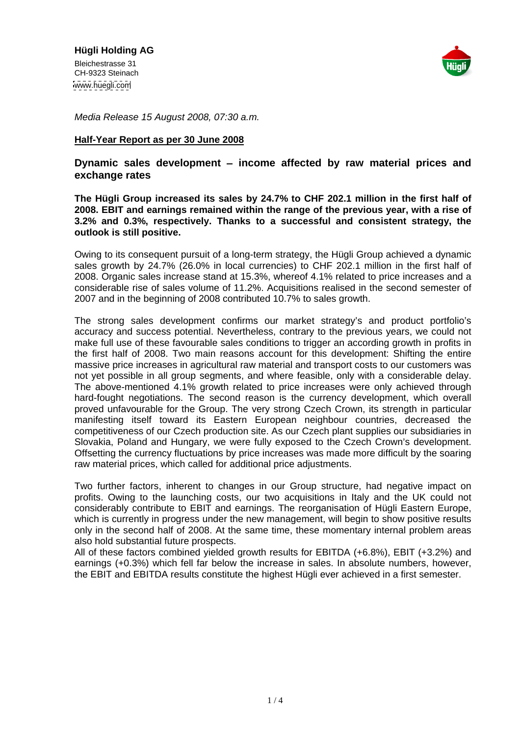

Media Release 15 August 2008, 07:30 a.m.

### **Half-Year Report as per 30 June 2008**

# **Dynamic sales development income affected by raw material prices and exchange rates**

**The Hügli Group increased its sales by 24.7% to CHF 202.1 million in the first half of 2008. EBIT and earnings remained within the range of the previous year, with a rise of 3.2% and 0.3%, respectively. Thanks to a successful and consistent strategy, the outlook is still positive.**

Owing to its consequent pursuit of a long-term strategy, the Hügli Group achieved a dynamic sales growth by 24.7% (26.0% in local currencies) to CHF 202.1 million in the first half of 2008. Organic sales increase stand at 15.3%, whereof 4.1% related to price increases and a considerable rise of sales volume of 11.2%. Acquisitions realised in the second semester of 2007 and in the beginning of 2008 contributed 10.7% to sales growth.

The strong sales development confirms our market strategy's and product portfolio's accuracy and success potential. Nevertheless, contrary to the previous years, we could not make full use of these favourable sales conditions to trigger an according growth in profits in the first half of 2008. Two main reasons account for this development: Shifting the entire massive price increases in agricultural raw material and transport costs to our customers was not yet possible in all group segments, and where feasible, only with <sup>a</sup> considerable delay. The above-mentioned 4.1% growth related to price increases were only achieved through hard-fought negotiations. The second reason is the currency development, which overall proved unfavourable for the Group. The very strong Czech Crown, its strength in particular manifesting itself toward its Eastern European neighbour countries, decreased the competitiveness of our Czech production site. As our Czech plant supplies our subsidiaries in Slovakia, Poland and Hungary, we were fully exposed to the Czech Crown's development. Offsetting the currency fluctuations by price increases was made more difficult by the soaring raw material prices, which called for additional price adjustments.

Two further factors, inherent to changes in our Group structure, had negative impact on profits. Owing to the launching costs, our two acquisitions in Italy and the UK could not considerably contribute to EBIT and earnings. The reorganisation of Hügli Eastern Europe, which is currently in progress under the new management, will begin to show positive results only in the second half of 2008. At the same time, these momentary internal problem areas also hold substantial future prospects.

All of these factors combined yielded growth results for EBITDA (+6.8%), EBIT (+3.2%) and earnings (+0.3%) which fell far below the increase in sales. In absolute numbers, however, the EBIT and EBITDA results constitute the highest Hügli ever achieved in a first semester.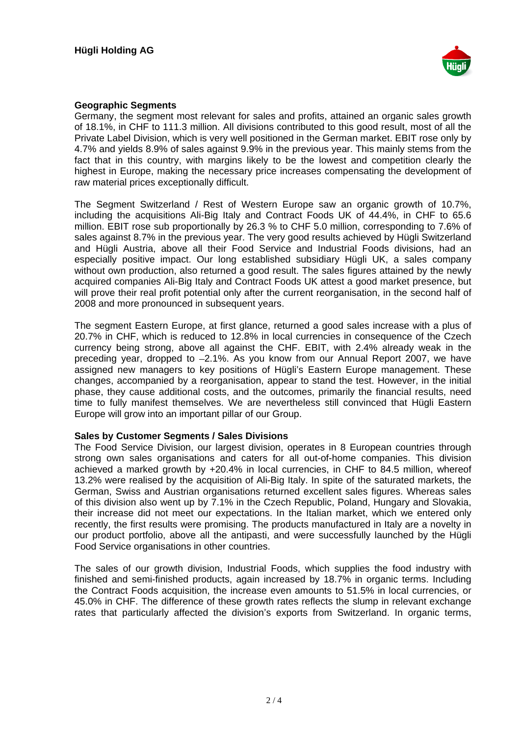

# **Geographic Segments**

Germany, the segment most relevant for sales and profits, attained an organic sales growth of 18.1%, in CHF to 111.3 million. All divisions contributed to this good result, most of all the Private Label Division, which is very well positioned in the German market. EBIT rose only by 4.7% and yields 8.9% of sales against 9.9% in the previous year. This mainly stems from the fact that in this country, with margins likely to be the lowest and competition clearly the highest in Europe, making the necessary price increases compensating the development of raw material prices exceptionally difficult.

The Segment Switzerland / Rest of Western Europe saw an organic growth of 10.7%, including the acquisitions Ali-Big Italy and Contract Foods UK of 44.4%, in CHF to 65.6 million. EBIT rose sub proportionally by 26.3 % to CHF 5.0 million, corresponding to 7.6% of sales against 8.7% in the previous year. The very good results achieved by Hügli Switzerland and Hügli Austria, above all their Food Service and Industrial Foods divisions, had an especially positive impact. Our long established subsidiary Hügli UK, a sales company without own production, also returned a good result. The sales figures attained by the newly acquired companies Ali-Big Italy and Contract Foods UK attest a good market presence, but will prove their real profit potential only after the current reorganisation, in the second half of 2008 and more pronounced in subsequent years.

The segment Eastern Europe, at first glance, returned a good sales increase with a plus of 20.7% in CHF, which is reduced to 12.8% in local currencies in consequence of the Czech currency being strong, above all against the CHF. EBIT, with 2.4% already weak in the preceding year, dropped to -2.1%. As you know from our Annual Report 2007, we have assigned new managers to key positions of Hügli's Eastern Europe management. These changes, accompanied by a reorganisation, appear to stand the test. However, in the initial phase, they cause additional costs, and the outcomes, primarily the financial results, need time to fully manifest themselves. We are nevertheless still convinced that Hügli Eastern Europe will grow into an important pillar of our Group.

## **Sales by Customer Segments / Sales Divisions**

The Food Service Division, our largest division, operates in 8 European countries through strong own sales organisations and caters for all out-of-home companies. This division achieved a marked growth by +20.4% in local currencies, in CHF to 84.5 million, whereof 13.2% were realised by the acquisition of Ali-Big Italy. In spite of the saturated markets, the German, Swiss and Austrian organisations returned excellent sales figures. Whereas sales of this division also went up by 7.1% in the Czech Republic, Poland, Hungary and Slovakia, their increase did not meet our expectations. In the Italian market, which we entered only recently, the first results were promising. The products manufactured in Italy are a novelty in our product portfolio, above all the antipasti, and were successfully launched by the Hügli Food Service organisations in other countries.

The sales of our growth division, Industrial Foods, which supplies the food industry with finished and semi-finished products, again increased by 18.7% in organic terms. Including the Contract Foods acquisition, the increase even amounts to 51.5% in local currencies, or 45.0% in CHF. The difference of these growth rates reflects the slump in relevant exchange rates that particularly affected the division's exports from Switzerland. In organic terms,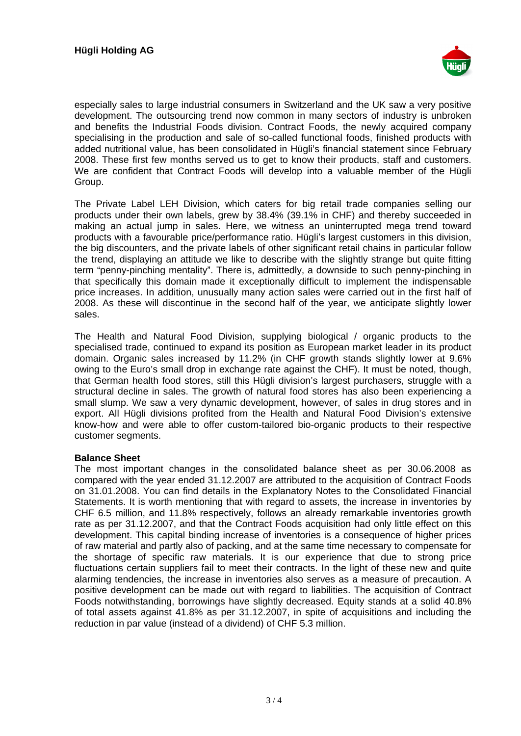

especially sales to large industrial consumers in Switzerland and the UK saw a very positive development. The outsourcing trend now common in many sectors of industry is unbroken and benefits the Industrial Foods division. Contract Foods, the newly acquired company specialising in the production and sale of so-called functional foods, finished products with added nutritional value, has been consolidated in Hügli's financial statement since February 2008. These first few months served us to get to know their products, staff and customers. We are confident that Contract Foods will develop into a valuable member of the Hügli Group.

The Private Label LEH Division, which caters for big retail trade companies selling our products under their own labels, grew by 38.4% (39.1% in CHF) and thereby succeeded in making an actual jump in sales. Here, we witness an uninterrupted mega trend toward products with a favourable price/performance ratio. Hügli's largest customers in this division, the big discounters, and the private labels of other significant retail chains in particular follow the trend, displaying an attitude we like to describe with the slightly strange but quite fitting term "penny-pinching mentality". There is, admittedly, a downside to such penny-pinching in that specifically this domain made it exceptionally difficult to implement the indispensable price increases. In addition, unusually many action sales were carried out in the first half of 2008. As these will discontinue in the second half of the year, we anticipate slightly lower sales. The contract of the contract of the contract of the contract of the contract of the contract of the contract of the contract of the contract of the contract of the contract of the contract of the contract of the con

The Health and Natural Food Division, supplying biological / organic products to the specialised trade, continued to expand its position as European market leader in its product domain. Organic sales increased by 11.2% (in CHF growth stands slightly lower at 9.6% owing to the Euro's small drop in exchange rate against the CHF). It must be noted, though, that German health food stores, still this Hügli division's largest purchasers, struggle with a structural decline in sales. The growth of natural food stores has also been experiencing a small slump. We saw a very dynamic development, however, of sales in drug stores and in export. All Hügli divisions profited from the Health and Natural Food Division's extensive know-how and were able to offer custom-tailored bio-organic products to their respective customer segments.

### **Balance Sheet**

The most important changes in the consolidated balance sheet as per 30.06.2008 as compared with the year ended 31.12.2007 are attributed to the acquisition of Contract Foods on 31.01.2008. You can find details in the Explanatory Notes to the Consolidated Financial Statements. It is worth mentioning that with regard to assets, the increase in inventories by CHF 6.5 million, and 11.8% respectively, follows an already remarkable inventories growth rate as per 31.12.2007, and that the Contract Foods acquisition had only little effect on this development. This capital binding increase of inventories is a consequence of higher prices of raw material and partly also of packing, and at the same time necessary to compensate for the shortage of specific raw materials. It is our experience that due to strong price fluctuations certain suppliers fail to meet their contracts. In the light of these new and quite alarming tendencies, the increase in inventories also serves as a measure of precaution. A positive development can be made out with regard to liabilities. The acquisition of Contract Foods notwithstanding, borrowings have slightly decreased. Equity stands at a solid 40.8% of total assets against 41.8% as per 31.12.2007, in spite of acquisitions and including the reduction in par value (instead of a dividend) of CHF 5.3 million.